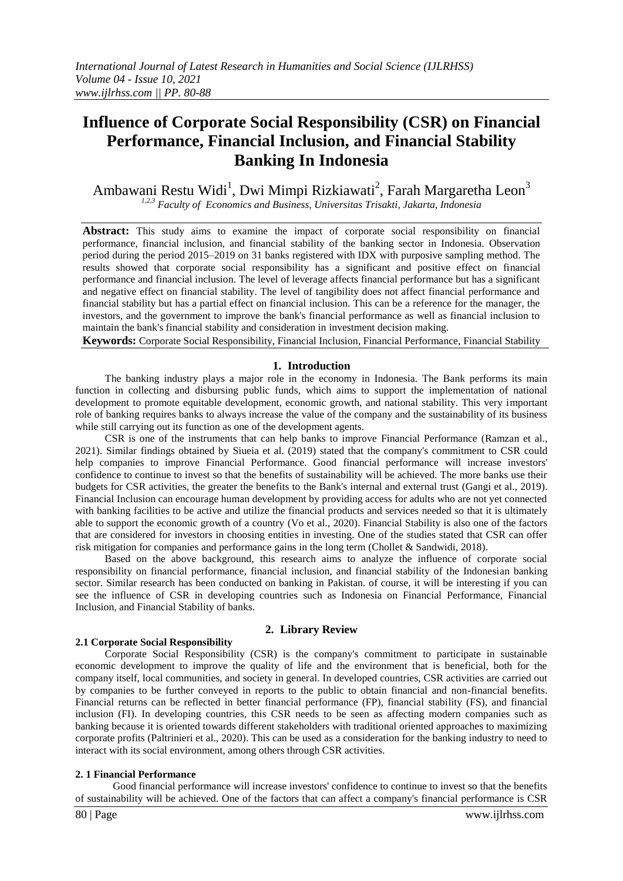# **Influence of Corporate Social Responsibility (CSR) on Financial Performance, Financial Inclusion, and Financial Stability Banking In Indonesia**

Ambawani Restu Widi<sup>1</sup>, Dwi Mimpi Rizkiawati<sup>2</sup>, Farah Margaretha Leon<sup>3</sup> *1,2,3 Faculty of Economics and Business, Universitas Trisakti, Jakarta, Indonesia*

**Abstract:** This study aims to examine the impact of corporate social responsibility on financial performance, financial inclusion, and financial stability of the banking sector in Indonesia. Observation period during the period 2015–2019 on 31 banks registered with IDX with purposive sampling method. The results showed that corporate social responsibility has a significant and positive effect on financial performance and financial inclusion. The level of leverage affects financial performance but has a significant and negative effect on financial stability. The level of tangibility does not affect financial performance and financial stability but has a partial effect on financial inclusion. This can be a reference for the manager, the investors, and the government to improve the bank's financial performance as well as financial inclusion to maintain the bank's financial stability and consideration in investment decision making.

**Keywords:** Corporate Social Responsibility, Financial Inclusion, Financial Performance, Financial Stability

#### **1. Introduction**

The banking industry plays a major role in the economy in Indonesia. The Bank performs its main function in collecting and disbursing public funds, which aims to support the implementation of national development to promote equitable development, economic growth, and national stability. This very important role of banking requires banks to always increase the value of the company and the sustainability of its business while still carrying out its function as one of the development agents.

CSR is one of the instruments that can help banks to improve Financial Performance (Ramzan et al., 2021). Similar findings obtained by Siueia et al. (2019) stated that the company's commitment to CSR could help companies to improve Financial Performance. Good financial performance will increase investors' confidence to continue to invest so that the benefits of sustainability will be achieved. The more banks use their budgets for CSR activities, the greater the benefits to the Bank's internal and external trust (Gangi et al., 2019). Financial Inclusion can encourage human development by providing access for adults who are not yet connected with banking facilities to be active and utilize the financial products and services needed so that it is ultimately able to support the economic growth of a country (Vo et al., 2020). Financial Stability is also one of the factors that are considered for investors in choosing entities in investing. One of the studies stated that CSR can offer risk mitigation for companies and performance gains in the long term (Chollet & Sandwidi, 2018).

Based on the above background, this research aims to analyze the influence of corporate social responsibility on financial performance, financial inclusion, and financial stability of the Indonesian banking sector. Similar research has been conducted on banking in Pakistan. of course, it will be interesting if you can see the influence of CSR in developing countries such as Indonesia on Financial Performance, Financial Inclusion, and Financial Stability of banks.

## **2. Library Review**

### **2.1 Corporate Social Responsibility**

Corporate Social Responsibility (CSR) is the company's commitment to participate in sustainable economic development to improve the quality of life and the environment that is beneficial, both for the company itself, local communities, and society in general. In developed countries, CSR activities are carried out by companies to be further conveyed in reports to the public to obtain financial and non-financial benefits. Financial returns can be reflected in better financial performance (FP), financial stability (FS), and financial inclusion (FI). In developing countries, this CSR needs to be seen as affecting modern companies such as banking because it is oriented towards different stakeholders with traditional oriented approaches to maximizing corporate profits (Paltrinieri et al., 2020). This can be used as a consideration for the banking industry to need to interact with its social environment, among others through CSR activities.

#### **2. 1 Financial Performance**

Good financial performance will increase investors' confidence to continue to invest so that the benefits of sustainability will be achieved. One of the factors that can affect a company's financial performance is CSR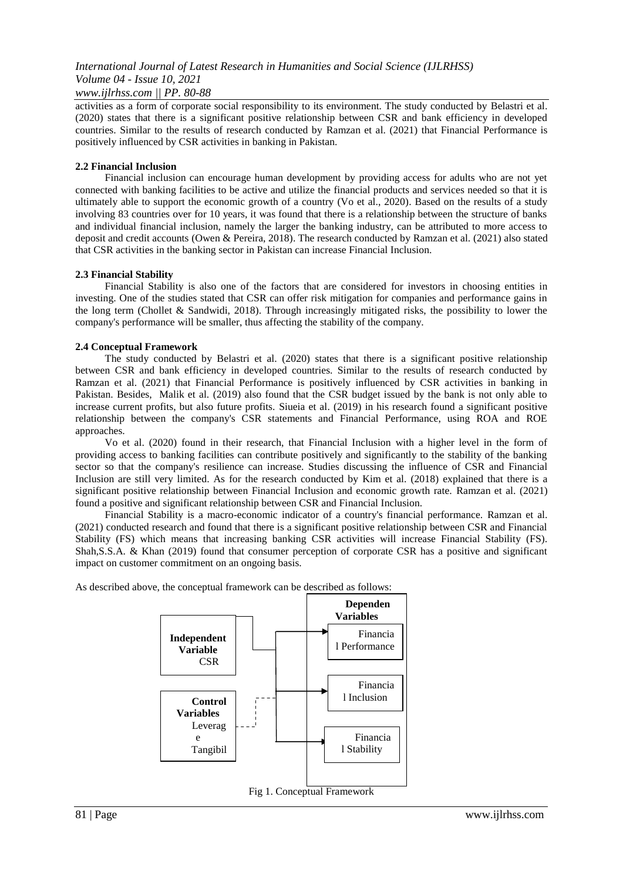# *International Journal of Latest Research in Humanities and Social Science (IJLRHSS) Volume 04 - Issue 10, 2021*

*www.ijlrhss.com || PP. 80-88*

activities as a form of corporate social responsibility to its environment. The study conducted by Belastri et al. (2020) states that there is a significant positive relationship between CSR and bank efficiency in developed countries. Similar to the results of research conducted by Ramzan et al. (2021) that Financial Performance is positively influenced by CSR activities in banking in Pakistan.

## **2.2 Financial Inclusion**

Financial inclusion can encourage human development by providing access for adults who are not yet connected with banking facilities to be active and utilize the financial products and services needed so that it is ultimately able to support the economic growth of a country (Vo et al., 2020). Based on the results of a study involving 83 countries over for 10 years, it was found that there is a relationship between the structure of banks and individual financial inclusion, namely the larger the banking industry, can be attributed to more access to deposit and credit accounts (Owen & Pereira, 2018). The research conducted by Ramzan et al. (2021) also stated that CSR activities in the banking sector in Pakistan can increase Financial Inclusion.

# **2.3 Financial Stability**

Financial Stability is also one of the factors that are considered for investors in choosing entities in investing. One of the studies stated that CSR can offer risk mitigation for companies and performance gains in the long term (Chollet & Sandwidi, 2018). Through increasingly mitigated risks, the possibility to lower the company's performance will be smaller, thus affecting the stability of the company.

# **2.4 Conceptual Framework**

The study conducted by Belastri et al. (2020) states that there is a significant positive relationship between CSR and bank efficiency in developed countries. Similar to the results of research conducted by Ramzan et al. (2021) that Financial Performance is positively influenced by CSR activities in banking in Pakistan. Besides, Malik et al. (2019) also found that the CSR budget issued by the bank is not only able to increase current profits, but also future profits. Siueia et al. (2019) in his research found a significant positive relationship between the company's CSR statements and Financial Performance, using ROA and ROE approaches.

Vo et al. (2020) found in their research, that Financial Inclusion with a higher level in the form of providing access to banking facilities can contribute positively and significantly to the stability of the banking sector so that the company's resilience can increase. Studies discussing the influence of CSR and Financial Inclusion are still very limited. As for the research conducted by Kim et al. (2018) explained that there is a significant positive relationship between Financial Inclusion and economic growth rate. Ramzan et al. (2021) found a positive and significant relationship between CSR and Financial Inclusion.

Financial Stability is a macro-economic indicator of a country's financial performance. Ramzan et al. (2021) conducted research and found that there is a significant positive relationship between CSR and Financial Stability (FS) which means that increasing banking CSR activities will increase Financial Stability (FS). Shah,S.S.A. & Khan (2019) found that consumer perception of corporate CSR has a positive and significant impact on customer commitment on an ongoing basis.

As described above, the conceptual framework can be described as follows:

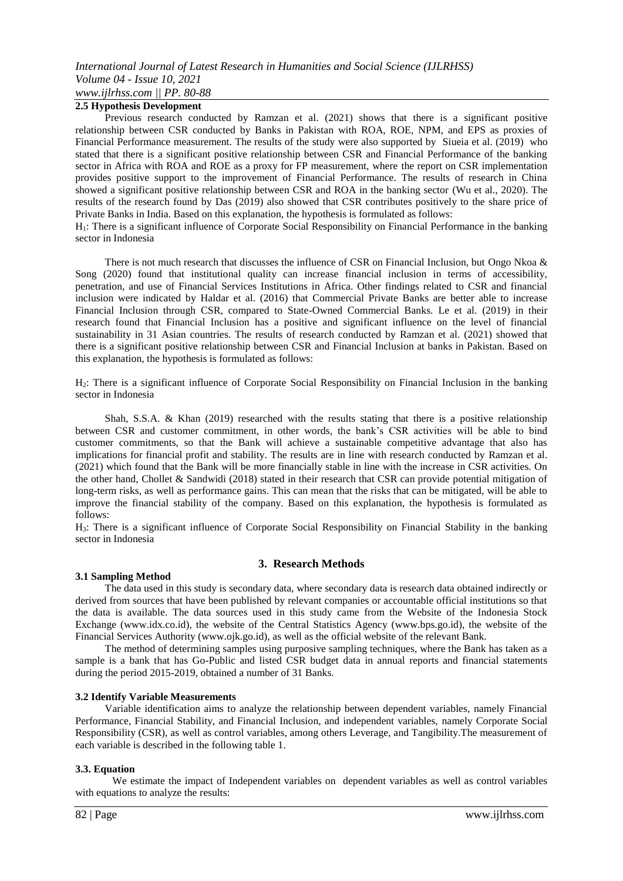# *International Journal of Latest Research in Humanities and Social Science (IJLRHSS) Volume 04 - Issue 10, 2021 www.ijlrhss.com || PP. 80-88*

# **2.5 Hypothesis Development**

Previous research conducted by Ramzan et al. (2021) shows that there is a significant positive relationship between CSR conducted by Banks in Pakistan with ROA, ROE, NPM, and EPS as proxies of Financial Performance measurement. The results of the study were also supported by Siueia et al. (2019) who stated that there is a significant positive relationship between CSR and Financial Performance of the banking sector in Africa with ROA and ROE as a proxy for FP measurement, where the report on CSR implementation provides positive support to the improvement of Financial Performance. The results of research in China showed a significant positive relationship between CSR and ROA in the banking sector (Wu et al., 2020). The results of the research found by Das (2019) also showed that CSR contributes positively to the share price of Private Banks in India. Based on this explanation, the hypothesis is formulated as follows:

H1: There is a significant influence of Corporate Social Responsibility on Financial Performance in the banking sector in Indonesia

There is not much research that discusses the influence of CSR on Financial Inclusion, but Ongo Nkoa & Song (2020) found that institutional quality can increase financial inclusion in terms of accessibility, penetration, and use of Financial Services Institutions in Africa. Other findings related to CSR and financial inclusion were indicated by Haldar et al. (2016) that Commercial Private Banks are better able to increase Financial Inclusion through CSR, compared to State-Owned Commercial Banks. Le et al. (2019) in their research found that Financial Inclusion has a positive and significant influence on the level of financial sustainability in 31 Asian countries. The results of research conducted by Ramzan et al. (2021) showed that there is a significant positive relationship between CSR and Financial Inclusion at banks in Pakistan. Based on this explanation, the hypothesis is formulated as follows:

H2: There is a significant influence of Corporate Social Responsibility on Financial Inclusion in the banking sector in Indonesia

Shah, S.S.A. & Khan (2019) researched with the results stating that there is a positive relationship between CSR and customer commitment, in other words, the bank's CSR activities will be able to bind customer commitments, so that the Bank will achieve a sustainable competitive advantage that also has implications for financial profit and stability. The results are in line with research conducted by Ramzan et al. (2021) which found that the Bank will be more financially stable in line with the increase in CSR activities. On the other hand, Chollet & Sandwidi (2018) stated in their research that CSR can provide potential mitigation of long-term risks, as well as performance gains. This can mean that the risks that can be mitigated, will be able to improve the financial stability of the company. Based on this explanation, the hypothesis is formulated as follows:

H3: There is a significant influence of Corporate Social Responsibility on Financial Stability in the banking sector in Indonesia

### **3. Research Methods**

### **3.1 Sampling Method**

The data used in this study is secondary data, where secondary data is research data obtained indirectly or derived from sources that have been published by relevant companies or accountable official institutions so that the data is available. The data sources used in this study came from the Website of the Indonesia Stock Exchange (www.idx.co.id), the website of the Central Statistics Agency (www.bps.go.id), the website of the Financial Services Authority (www.ojk.go.id), as well as the official website of the relevant Bank.

The method of determining samples using purposive sampling techniques, where the Bank has taken as a sample is a bank that has Go-Public and listed CSR budget data in annual reports and financial statements during the period 2015-2019, obtained a number of 31 Banks.

## **3.2 Identify Variable Measurements**

Variable identification aims to analyze the relationship between dependent variables, namely Financial Performance, Financial Stability, and Financial Inclusion, and independent variables, namely Corporate Social Responsibility (CSR), as well as control variables, among others Leverage, and Tangibility.The measurement of each variable is described in the following table 1.

### **3.3. Equation**

We estimate the impact of Independent variables on dependent variables as well as control variables with equations to analyze the results: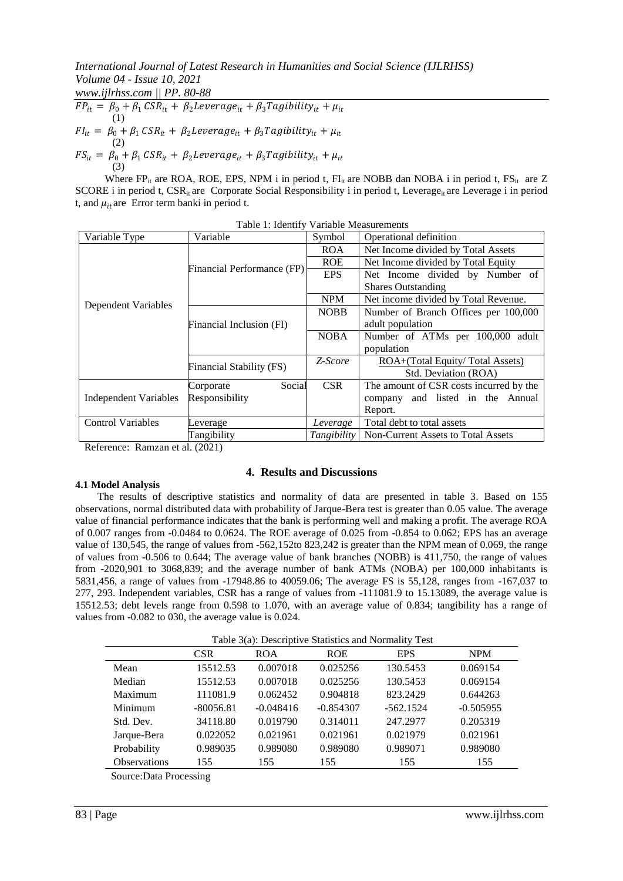*International Journal of Latest Research in Humanities and Social Science (IJLRHSS) Volume 04 - Issue 10, 2021*

*www.ijlrhss.com || PP. 80-88*

 $\frac{1}{F P_{it}} = \beta_0 + \beta_1 \, \text{CSR}_{it} + \beta_2 \text{Leverage}_{it} + \beta_3 \text{Tagibility}_{it} + \mu_{it}$ (1)  $FI_{it} = \beta_0 + \beta_1 \, CSR_{it} + \beta_2 \, Leverage_{it} + \beta_3 \, Tagibility_{it} + \mu_{it}$ (2)  $FS_{it} = \beta_0 + \beta_1 \, \text{CSR}_{it} + \beta_2 \text{Leverage}_{it} + \beta_3 \text{Tagibility}_{it} + \mu_{it}$ (3)

Where FP<sub>it</sub> are ROA, ROE, EPS, NPM i in period t,  $FI_{it}$  are NOBB dan NOBA i in period t,  $FS_{it}$  are Z SCORE i in period t, CSR<sub>it</sub> are Corporate Social Responsibility i in period t, Leverage<sub>it</sub> are Leverage i in period t, and  $\mu_{it}$  are Error term banki in period t.

|                              | THUID I. IGUILLEY                                  | <u>t arraoic incabarchiches</u> |                                         |  |  |
|------------------------------|----------------------------------------------------|---------------------------------|-----------------------------------------|--|--|
| Variable Type                | Variable                                           | Symbol                          | Operational definition                  |  |  |
|                              |                                                    | <b>ROA</b>                      | Net Income divided by Total Assets      |  |  |
|                              | Financial Performance (FP)                         | <b>ROE</b>                      | Net Income divided by Total Equity      |  |  |
|                              |                                                    | <b>EPS</b>                      | Net Income divided by Number of         |  |  |
|                              |                                                    |                                 | <b>Shares Outstanding</b>               |  |  |
| Dependent Variables          | <b>NPM</b><br>Net income divided by Total Revenue. |                                 |                                         |  |  |
|                              |                                                    | <b>NOBB</b>                     | Number of Branch Offices per 100,000    |  |  |
|                              | Financial Inclusion (FI)                           |                                 | adult population                        |  |  |
|                              |                                                    | <b>NOBA</b>                     | Number of ATMs per 100,000 adult        |  |  |
|                              |                                                    |                                 | population                              |  |  |
|                              | Financial Stability (FS)                           | Z-Score                         | ROA+(Total Equity/Total Assets)         |  |  |
|                              |                                                    |                                 | Std. Deviation (ROA)                    |  |  |
|                              | Social<br>Corporate                                | <b>CSR</b>                      | The amount of CSR costs incurred by the |  |  |
| <b>Independent Variables</b> | Responsibility                                     |                                 | company and listed in the Annual        |  |  |
|                              |                                                    |                                 | Report.                                 |  |  |
| <b>Control Variables</b>     | Leverage                                           | Leverage                        | Total debt to total assets              |  |  |
|                              | Tangibility                                        | Tangibility                     | Non-Current Assets to Total Assets      |  |  |

| Table 1: Identify Variable Measurements |
|-----------------------------------------|
|                                         |

Reference: Ramzan et al. (2021)

# **4. Results and Discussions**

# **4.1 Model Analysis**

The results of descriptive statistics and normality of data are presented in table 3. Based on 155 observations, normal distributed data with probability of Jarque-Bera test is greater than 0.05 value. The average value of financial performance indicates that the bank is performing well and making a profit. The average ROA of 0.007 ranges from -0.0484 to 0.0624. The ROE average of 0.025 from -0.854 to 0.062; EPS has an average value of 130,545, the range of values from -562,152to 823,242 is greater than the NPM mean of 0.069, the range of values from -0.506 to 0.644; The average value of bank branches (NOBB) is 411,750, the range of values from -2020,901 to 3068,839; and the average number of bank ATMs (NOBA) per 100,000 inhabitants is 5831,456, a range of values from -17948.86 to 40059.06; The average FS is 55,128, ranges from -167,037 to 277, 293. Independent variables, CSR has a range of values from -111081.9 to 15.13089, the average value is 15512.53; debt levels range from 0.598 to 1.070, with an average value of 0.834; tangibility has a range of values from -0.082 to 030, the average value is 0.024.

| Table 3(a): Descriptive Statistics and Normality Test |  |
|-------------------------------------------------------|--|
|-------------------------------------------------------|--|

|                         | CSR.        | <b>ROA</b>  | <b>ROE</b>  | <b>EPS</b>  | <b>NPM</b>  |
|-------------------------|-------------|-------------|-------------|-------------|-------------|
| Mean                    | 15512.53    | 0.007018    | 0.025256    | 130.5453    | 0.069154    |
| Median                  | 15512.53    | 0.007018    | 0.025256    | 130.5453    | 0.069154    |
| Maximum                 | 111081.9    | 0.062452    | 0.904818    | 823.2429    | 0.644263    |
| Minimum                 | $-80056.81$ | $-0.048416$ | $-0.854307$ | $-562.1524$ | $-0.505955$ |
| Std. Dev.               | 34118.80    | 0.019790    | 0.314011    | 247.2977    | 0.205319    |
| Jarque-Bera             | 0.022052    | 0.021961    | 0.021961    | 0.021979    | 0.021961    |
| Probability             | 0.989035    | 0.989080    | 0.989080    | 0.989071    | 0.989080    |
| Observations            | 155         | 155         | 155         | 155         | 155         |
| Source: Data Processing |             |             |             |             |             |

Source:Data Processing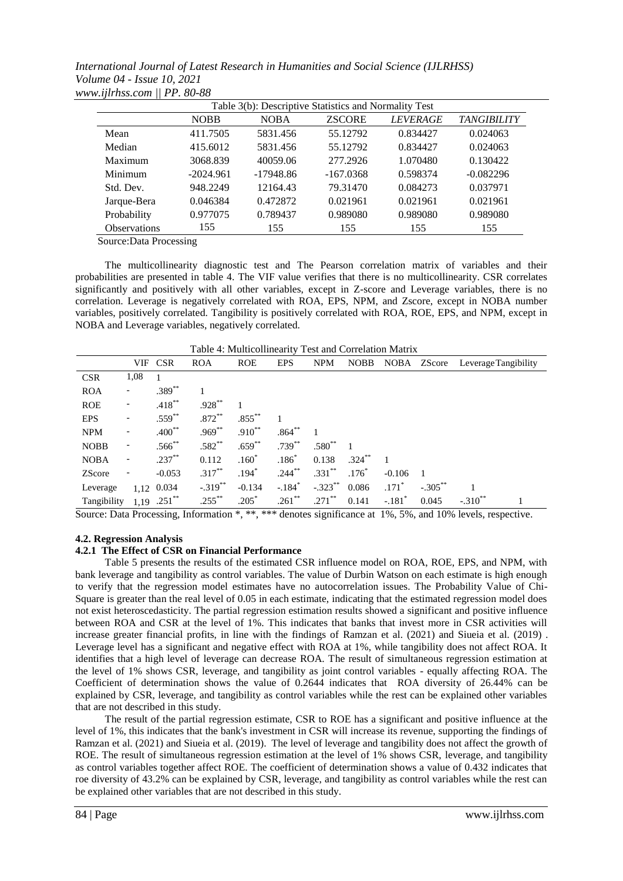*International Journal of Latest Research in Humanities and Social Science (IJLRHSS) Volume 04 - Issue 10, 2021 www.ijlrhss.com || PP. 80-88*

|                     | Table 3(b): Descriptive Statistics and Normality Test |             |               |                 |                    |
|---------------------|-------------------------------------------------------|-------------|---------------|-----------------|--------------------|
|                     | <b>NOBB</b>                                           | <b>NOBA</b> | <b>ZSCORE</b> | <b>LEVERAGE</b> | <b>TANGIBILITY</b> |
| Mean                | 411.7505                                              | 5831.456    | 55.12792      | 0.834427        | 0.024063           |
| Median              | 415.6012                                              | 5831.456    | 55.12792      | 0.834427        | 0.024063           |
| Maximum             | 3068.839                                              | 40059.06    | 277.2926      | 1.070480        | 0.130422           |
| Minimum             | $-2024.961$                                           | $-17948.86$ | $-167.0368$   | 0.598374        | $-0.082296$        |
| Std. Dev.           | 948.2249                                              | 12164.43    | 79.31470      | 0.084273        | 0.037971           |
| Jarque-Bera         | 0.046384                                              | 0.472872    | 0.021961      | 0.021961        | 0.021961           |
| Probability         | 0.977075                                              | 0.789437    | 0.989080      | 0.989080        | 0.989080           |
| <b>Observations</b> | 155                                                   | 155         | 155           | 155             | 155                |

Source:Data Processing

The multicollinearity diagnostic test and The Pearson correlation matrix of variables and their probabilities are presented in table 4. The VIF value verifies that there is no multicollinearity. CSR correlates significantly and positively with all other variables, except in Z-score and Leverage variables, there is no correlation. Leverage is negatively correlated with ROA, EPS, NPM, and Zscore, except in NOBA number variables, positively correlated. Tangibility is positively correlated with ROA, ROE, EPS, and NPM, except in NOBA and Leverage variables, negatively correlated.

| Table 4: Multicollinearity Test and Correlation Matrix |                          |             |            |             |                      |            |             |                      |             |                      |  |
|--------------------------------------------------------|--------------------------|-------------|------------|-------------|----------------------|------------|-------------|----------------------|-------------|----------------------|--|
|                                                        |                          | VIF CSR     | <b>ROA</b> | <b>ROE</b>  | <b>EPS</b>           | <b>NPM</b> | <b>NOBB</b> |                      | NOBA ZScore | Leverage Tangibility |  |
| <b>CSR</b>                                             | 1,08                     |             |            |             |                      |            |             |                      |             |                      |  |
| <b>ROA</b>                                             |                          | $.389**$    |            |             |                      |            |             |                      |             |                      |  |
| <b>ROE</b>                                             | $\overline{\phantom{a}}$ | $.418***$   | $.928***$  |             |                      |            |             |                      |             |                      |  |
| <b>EPS</b>                                             | -                        | $.559^{**}$ | $.872***$  | $.855***$   |                      |            |             |                      |             |                      |  |
| <b>NPM</b>                                             | -                        | $.400^{**}$ | $.969***$  | $.910^{**}$ | $.864***$            |            |             |                      |             |                      |  |
| <b>NOBB</b>                                            | -                        | $.566^{**}$ | $.582**$   | $.659***$   | $.739***$            | $.580**$   |             |                      |             |                      |  |
| <b>NOBA</b>                                            | -                        | $.237***$   | 0.112      | $.160*$     | $.186*$              | 0.138      | $.324***$   |                      |             |                      |  |
| <b>ZScore</b>                                          |                          | $-0.053$    | $.317***$  | $.194*$     | $.244***$            | $.331**$   | $.176*$     | $-0.106$             |             |                      |  |
| Leverage                                               |                          | 1,12 0.034  | $-.319***$ | $-0.134$    | $-.184$ <sup>*</sup> | $-.323***$ | 0.086       | $.171*$              | $-.305***$  |                      |  |
| Tangibility                                            | 1.19                     | $.251$ **   | $.255***$  | $.205*$     | $.261$ **            | $.271$ **  | 0.141       | $-.181$ <sup>*</sup> | 0.045       | $-.310$ **           |  |

Source: Data Processing, Information \*, \*\*, \*\*\* denotes significance at 1%, 5%, and 10% levels, respective.

### **4.2. Regression Analysis**

### **4.2.1 The Effect of CSR on Financial Performance**

Table 5 presents the results of the estimated CSR influence model on ROA, ROE, EPS, and NPM, with bank leverage and tangibility as control variables. The value of Durbin Watson on each estimate is high enough to verify that the regression model estimates have no autocorrelation issues. The Probability Value of Chi-Square is greater than the real level of 0.05 in each estimate, indicating that the estimated regression model does not exist heteroscedasticity. The partial regression estimation results showed a significant and positive influence between ROA and CSR at the level of 1%. This indicates that banks that invest more in CSR activities will increase greater financial profits, in line with the findings of Ramzan et al. (2021) and Siueia et al. (2019) . Leverage level has a significant and negative effect with ROA at 1%, while tangibility does not affect ROA. It identifies that a high level of leverage can decrease ROA. The result of simultaneous regression estimation at the level of 1% shows CSR, leverage, and tangibility as joint control variables - equally affecting ROA. The Coefficient of determination shows the value of 0.2644 indicates that ROA diversity of 26.44% can be explained by CSR, leverage, and tangibility as control variables while the rest can be explained other variables that are not described in this study.

The result of the partial regression estimate, CSR to ROE has a significant and positive influence at the level of 1%, this indicates that the bank's investment in CSR will increase its revenue, supporting the findings of Ramzan et al. (2021) and Siueia et al. (2019). The level of leverage and tangibility does not affect the growth of ROE. The result of simultaneous regression estimation at the level of 1% shows CSR, leverage, and tangibility as control variables together affect ROE. The coefficient of determination shows a value of 0.432 indicates that roe diversity of 43.2% can be explained by CSR, leverage, and tangibility as control variables while the rest can be explained other variables that are not described in this study.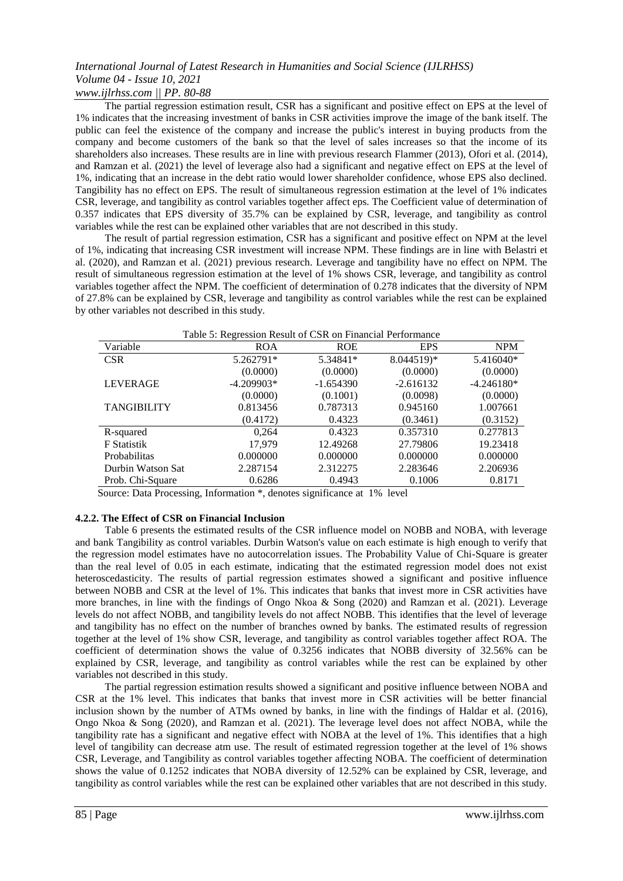# *International Journal of Latest Research in Humanities and Social Science (IJLRHSS) Volume 04 - Issue 10, 2021*

*www.ijlrhss.com || PP. 80-88*

The partial regression estimation result, CSR has a significant and positive effect on EPS at the level of 1% indicates that the increasing investment of banks in CSR activities improve the image of the bank itself. The public can feel the existence of the company and increase the public's interest in buying products from the company and become customers of the bank so that the level of sales increases so that the income of its shareholders also increases. These results are in line with previous research Flammer (2013), Ofori et al. (2014), and Ramzan et al. (2021) the level of leverage also had a significant and negative effect on EPS at the level of 1%, indicating that an increase in the debt ratio would lower shareholder confidence, whose EPS also declined. Tangibility has no effect on EPS. The result of simultaneous regression estimation at the level of 1% indicates CSR, leverage, and tangibility as control variables together affect eps. The Coefficient value of determination of 0.357 indicates that EPS diversity of 35.7% can be explained by CSR, leverage, and tangibility as control variables while the rest can be explained other variables that are not described in this study.

The result of partial regression estimation, CSR has a significant and positive effect on NPM at the level of 1%, indicating that increasing CSR investment will increase NPM. These findings are in line with Belastri et al. (2020), and Ramzan et al. (2021) previous research. Leverage and tangibility have no effect on NPM. The result of simultaneous regression estimation at the level of 1% shows CSR, leverage, and tangibility as control variables together affect the NPM. The coefficient of determination of 0.278 indicates that the diversity of NPM of 27.8% can be explained by CSR, leverage and tangibility as control variables while the rest can be explained by other variables not described in this study.

| Table 5: Regression Result of CSR on Financial Performance |              |             |                         |              |
|------------------------------------------------------------|--------------|-------------|-------------------------|--------------|
| Variable                                                   | <b>ROA</b>   | <b>ROE</b>  | <b>EPS</b>              | <b>NPM</b>   |
| <b>CSR</b>                                                 | 5.262791*    | 5.34841*    | $8.044519$ <sup>*</sup> | 5.416040*    |
|                                                            | (0.0000)     | (0.0000)    | (0.0000)                | (0.0000)     |
| <b>LEVERAGE</b>                                            | $-4.209903*$ | $-1.654390$ | $-2.616132$             | $-4.246180*$ |
|                                                            | (0.0000)     | (0.1001)    | (0.0098)                | (0.0000)     |
| <b>TANGIBILITY</b>                                         | 0.813456     | 0.787313    | 0.945160                | 1.007661     |
|                                                            | (0.4172)     | 0.4323      | (0.3461)                | (0.3152)     |
| R-squared                                                  | 0.264        | 0.4323      | 0.357310                | 0.277813     |
| <b>F</b> Statistik                                         | 17.979       | 12.49268    | 27.79806                | 19.23418     |
| Probabilitas                                               | 0.000000     | 0.000000    | 0.000000                | 0.000000     |
| Durbin Watson Sat                                          | 2.287154     | 2.312275    | 2.283646                | 2.206936     |
| Prob. Chi-Square                                           | 0.6286       | 0.4943      | 0.1006                  | 0.8171       |

Source: Data Processing, Information \*, denotes significance at 1% level

# **4.2.2. The Effect of CSR on Financial Inclusion**

Table 6 presents the estimated results of the CSR influence model on NOBB and NOBA, with leverage and bank Tangibility as control variables. Durbin Watson's value on each estimate is high enough to verify that the regression model estimates have no autocorrelation issues. The Probability Value of Chi-Square is greater than the real level of 0.05 in each estimate, indicating that the estimated regression model does not exist heteroscedasticity. The results of partial regression estimates showed a significant and positive influence between NOBB and CSR at the level of 1%. This indicates that banks that invest more in CSR activities have more branches, in line with the findings of Ongo Nkoa & Song (2020) and Ramzan et al. (2021). Leverage levels do not affect NOBB, and tangibility levels do not affect NOBB. This identifies that the level of leverage and tangibility has no effect on the number of branches owned by banks. The estimated results of regression together at the level of 1% show CSR, leverage, and tangibility as control variables together affect ROA. The coefficient of determination shows the value of 0.3256 indicates that NOBB diversity of 32.56% can be explained by CSR, leverage, and tangibility as control variables while the rest can be explained by other variables not described in this study.

The partial regression estimation results showed a significant and positive influence between NOBA and CSR at the 1% level. This indicates that banks that invest more in CSR activities will be better financial inclusion shown by the number of ATMs owned by banks, in line with the findings of Haldar et al. (2016), Ongo Nkoa & Song (2020), and Ramzan et al. (2021). The leverage level does not affect NOBA, while the tangibility rate has a significant and negative effect with NOBA at the level of 1%. This identifies that a high level of tangibility can decrease atm use. The result of estimated regression together at the level of 1% shows CSR, Leverage, and Tangibility as control variables together affecting NOBA. The coefficient of determination shows the value of 0.1252 indicates that NOBA diversity of 12.52% can be explained by CSR, leverage, and tangibility as control variables while the rest can be explained other variables that are not described in this study.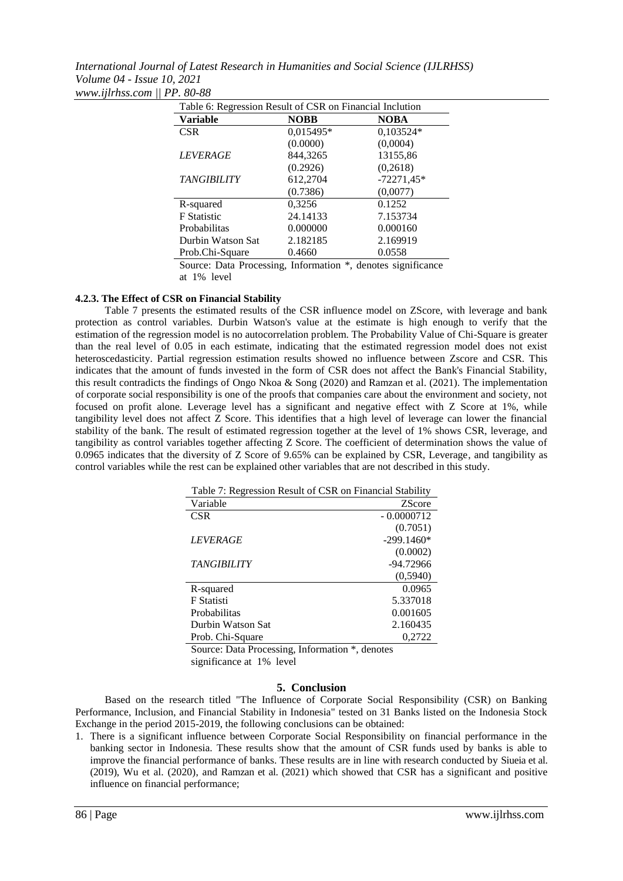*International Journal of Latest Research in Humanities and Social Science (IJLRHSS) Volume 04 - Issue 10, 2021 www.ijlrhss.com || PP. 80-88*

| Table 6: Regression Result of CSR on Financial Inclution |             |              |  |
|----------------------------------------------------------|-------------|--------------|--|
| <b>Variable</b>                                          | <b>NOBB</b> | <b>NOBA</b>  |  |
| <b>CSR</b>                                               | 0,015495*   | 0,103524*    |  |
|                                                          | (0.0000)    | (0,0004)     |  |
| <i>LEVERAGE</i>                                          | 844,3265    | 13155,86     |  |
|                                                          | (0.2926)    | (0,2618)     |  |
| <b>TANGIBILITY</b>                                       | 612,2704    | $-72271,45*$ |  |
|                                                          | (0.7386)    | (0,0077)     |  |
| R-squared                                                | 0,3256      | 0.1252       |  |
| <b>F</b> Statistic                                       | 24.14133    | 7.153734     |  |
| Probabilitas                                             | 0.000000    | 0.000160     |  |
| Durbin Watson Sat                                        | 2.182185    | 2.169919     |  |
| Prob.Chi-Square                                          | 0.4660      | 0.0558       |  |

Source: Data Processing, Information \*, denotes significance at 1% level

# **4.2.3. The Effect of CSR on Financial Stability**

Table 7 presents the estimated results of the CSR influence model on ZScore, with leverage and bank protection as control variables. Durbin Watson's value at the estimate is high enough to verify that the estimation of the regression model is no autocorrelation problem. The Probability Value of Chi-Square is greater than the real level of 0.05 in each estimate, indicating that the estimated regression model does not exist heteroscedasticity. Partial regression estimation results showed no influence between Zscore and CSR. This indicates that the amount of funds invested in the form of CSR does not affect the Bank's Financial Stability, this result contradicts the findings of Ongo Nkoa & Song (2020) and Ramzan et al. (2021). The implementation of corporate social responsibility is one of the proofs that companies care about the environment and society, not focused on profit alone. Leverage level has a significant and negative effect with Z Score at 1%, while tangibility level does not affect  $\bar{Z}$  Score. This identifies that a high level of leverage can lower the financial stability of the bank. The result of estimated regression together at the level of 1% shows CSR, leverage, and tangibility as control variables together affecting Z Score. The coefficient of determination shows the value of 0.0965 indicates that the diversity of Z Score of 9.65% can be explained by CSR, Leverage, and tangibility as control variables while the rest can be explained other variables that are not described in this study.

| Table 7: Regression Result of CSR on Financial Stability |               |
|----------------------------------------------------------|---------------|
| Variable                                                 | <b>ZScore</b> |
| <b>CSR</b>                                               | $-0.0000712$  |
|                                                          | (0.7051)      |
| <i>LEVERAGE</i>                                          | $-299.1460*$  |
|                                                          | (0.0002)      |
| <b>TANGIBILITY</b>                                       | $-94.72966$   |
|                                                          | (0,5940)      |
| R-squared                                                | 0.0965        |
| F Statisti                                               | 5.337018      |
| Probabilitas                                             | 0.001605      |
| Durbin Watson Sat                                        | 2.160435      |
| Prob. Chi-Square                                         | 0,2722        |
|                                                          |               |

Source: Data Processing, Information \*, denotes significance at 1% level

# **5. Conclusion**

Based on the research titled "The Influence of Corporate Social Responsibility (CSR) on Banking Performance, Inclusion, and Financial Stability in Indonesia" tested on 31 Banks listed on the Indonesia Stock Exchange in the period 2015-2019, the following conclusions can be obtained:

1. There is a significant influence between Corporate Social Responsibility on financial performance in the banking sector in Indonesia. These results show that the amount of CSR funds used by banks is able to improve the financial performance of banks. These results are in line with research conducted by Siueia et al. (2019), Wu et al. (2020), and Ramzan et al. (2021) which showed that CSR has a significant and positive influence on financial performance;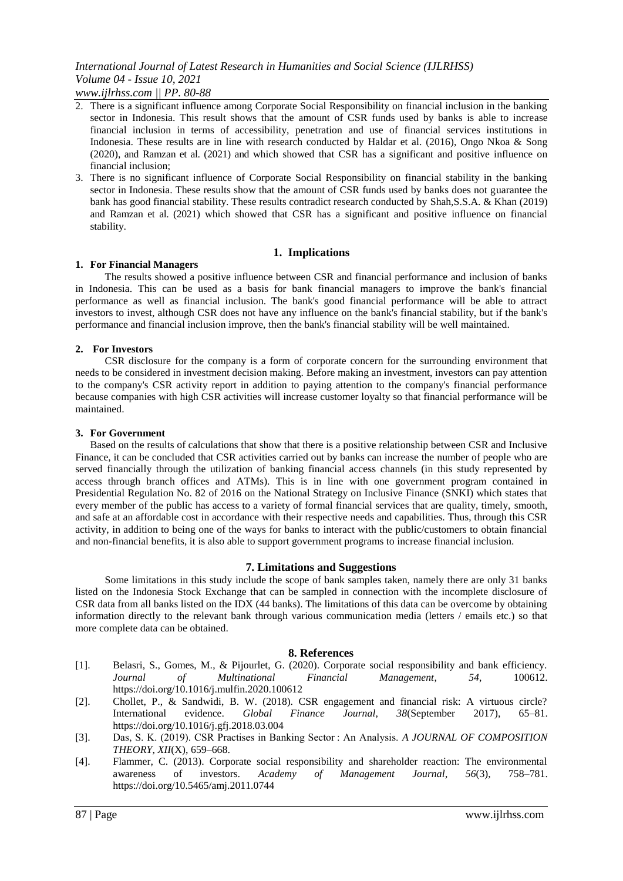*www.ijlrhss.com || PP. 80-88*

- 2. There is a significant influence among Corporate Social Responsibility on financial inclusion in the banking sector in Indonesia. This result shows that the amount of CSR funds used by banks is able to increase financial inclusion in terms of accessibility, penetration and use of financial services institutions in Indonesia. These results are in line with research conducted by Haldar et al. (2016), Ongo Nkoa & Song (2020), and Ramzan et al. (2021) and which showed that CSR has a significant and positive influence on financial inclusion;
- 3. There is no significant influence of Corporate Social Responsibility on financial stability in the banking sector in Indonesia. These results show that the amount of CSR funds used by banks does not guarantee the bank has good financial stability. These results contradict research conducted by Shah,S.S.A. & Khan (2019) and Ramzan et al. (2021) which showed that CSR has a significant and positive influence on financial stability.

# **1. Implications**

### **1. For Financial Managers**

The results showed a positive influence between CSR and financial performance and inclusion of banks in Indonesia. This can be used as a basis for bank financial managers to improve the bank's financial performance as well as financial inclusion. The bank's good financial performance will be able to attract investors to invest, although CSR does not have any influence on the bank's financial stability, but if the bank's performance and financial inclusion improve, then the bank's financial stability will be well maintained.

# **2. For Investors**

CSR disclosure for the company is a form of corporate concern for the surrounding environment that needs to be considered in investment decision making. Before making an investment, investors can pay attention to the company's CSR activity report in addition to paying attention to the company's financial performance because companies with high CSR activities will increase customer loyalty so that financial performance will be maintained.

### **3. For Government**

Based on the results of calculations that show that there is a positive relationship between CSR and Inclusive Finance, it can be concluded that CSR activities carried out by banks can increase the number of people who are served financially through the utilization of banking financial access channels (in this study represented by access through branch offices and ATMs). This is in line with one government program contained in Presidential Regulation No. 82 of 2016 on the National Strategy on Inclusive Finance (SNKI) which states that every member of the public has access to a variety of formal financial services that are quality, timely, smooth, and safe at an affordable cost in accordance with their respective needs and capabilities. Thus, through this CSR activity, in addition to being one of the ways for banks to interact with the public/customers to obtain financial and non-financial benefits, it is also able to support government programs to increase financial inclusion.

# **7. Limitations and Suggestions**

Some limitations in this study include the scope of bank samples taken, namely there are only 31 banks listed on the Indonesia Stock Exchange that can be sampled in connection with the incomplete disclosure of CSR data from all banks listed on the IDX (44 banks). The limitations of this data can be overcome by obtaining information directly to the relevant bank through various communication media (letters / emails etc.) so that more complete data can be obtained.

### **8. References**

- [1]. Belasri, S., Gomes, M., & Pijourlet, G. (2020). Corporate social responsibility and bank efficiency. *Journal of Multinational Financial Management*, *54*, 100612. https://doi.org/10.1016/j.mulfin.2020.100612
- [2]. Chollet, P., & Sandwidi, B. W. (2018). CSR engagement and financial risk: A virtuous circle? International evidence. *Global Finance Journal*, *38*(September 2017), 65–81. https://doi.org/10.1016/j.gfj.2018.03.004
- [3]. Das, S. K. (2019). CSR Practises in Banking Sector : An Analysis. *A JOURNAL OF COMPOSITION THEORY*, *XII*(X), 659–668.
- [4]. Flammer, C. (2013). Corporate social responsibility and shareholder reaction: The environmental awareness of investors. *Academy of Management Journal*, *56*(3), 758–781. https://doi.org/10.5465/amj.2011.0744